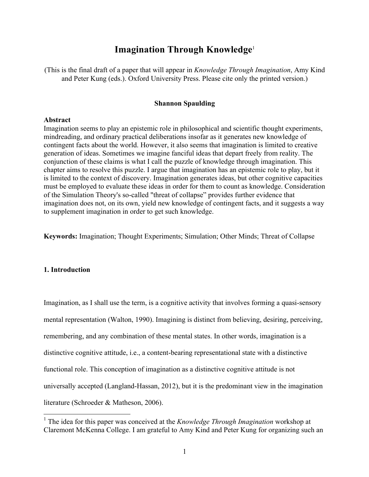# **Imagination Through Knowledge**<sup>1</sup>

(This is the final draft of a paper that will appear in *Knowledge Through Imagination*, Amy Kind and Peter Kung (eds.). Oxford University Press. Please cite only the printed version.)

#### **Shannon Spaulding**

#### **Abstract**

Imagination seems to play an epistemic role in philosophical and scientific thought experiments, mindreading, and ordinary practical deliberations insofar as it generates new knowledge of contingent facts about the world. However, it also seems that imagination is limited to creative generation of ideas. Sometimes we imagine fanciful ideas that depart freely from reality. The conjunction of these claims is what I call the puzzle of knowledge through imagination. This chapter aims to resolve this puzzle. I argue that imagination has an epistemic role to play, but it is limited to the context of discovery. Imagination generates ideas, but other cognitive capacities must be employed to evaluate these ideas in order for them to count as knowledge. Consideration of the Simulation Theory's so-called "threat of collapse" provides further evidence that imagination does not, on its own, yield new knowledge of contingent facts, and it suggests a way to supplement imagination in order to get such knowledge.

**Keywords:** Imagination; Thought Experiments; Simulation; Other Minds; Threat of Collapse

## **1. Introduction**

Imagination, as I shall use the term, is a cognitive activity that involves forming a quasi-sensory mental representation (Walton, 1990). Imagining is distinct from believing, desiring, perceiving, remembering, and any combination of these mental states. In other words, imagination is a distinctive cognitive attitude, i.e., a content-bearing representational state with a distinctive functional role. This conception of imagination as a distinctive cognitive attitude is not universally accepted (Langland-Hassan, 2012), but it is the predominant view in the imagination literature (Schroeder & Matheson, 2006).

 <sup>1</sup> The idea for this paper was conceived at the *Knowledge Through Imagination* workshop at Claremont McKenna College. I am grateful to Amy Kind and Peter Kung for organizing such an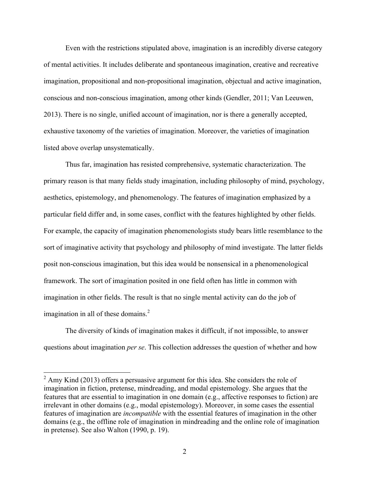Even with the restrictions stipulated above, imagination is an incredibly diverse category of mental activities. It includes deliberate and spontaneous imagination, creative and recreative imagination, propositional and non-propositional imagination, objectual and active imagination, conscious and non-conscious imagination, among other kinds (Gendler, 2011; Van Leeuwen, 2013). There is no single, unified account of imagination, nor is there a generally accepted, exhaustive taxonomy of the varieties of imagination. Moreover, the varieties of imagination listed above overlap unsystematically.

Thus far, imagination has resisted comprehensive, systematic characterization. The primary reason is that many fields study imagination, including philosophy of mind, psychology, aesthetics, epistemology, and phenomenology. The features of imagination emphasized by a particular field differ and, in some cases, conflict with the features highlighted by other fields. For example, the capacity of imagination phenomenologists study bears little resemblance to the sort of imaginative activity that psychology and philosophy of mind investigate. The latter fields posit non-conscious imagination, but this idea would be nonsensical in a phenomenological framework. The sort of imagination posited in one field often has little in common with imagination in other fields. The result is that no single mental activity can do the job of imagination in all of these domains.<sup>2</sup>

The diversity of kinds of imagination makes it difficult, if not impossible, to answer questions about imagination *per se*. This collection addresses the question of whether and how

 $2$  Amy Kind (2013) offers a persuasive argument for this idea. She considers the role of imagination in fiction, pretense, mindreading, and modal epistemology. She argues that the features that are essential to imagination in one domain (e.g., affective responses to fiction) are irrelevant in other domains (e.g., modal epistemology). Moreover, in some cases the essential features of imagination are *incompatible* with the essential features of imagination in the other domains (e.g., the offline role of imagination in mindreading and the online role of imagination in pretense). See also Walton (1990, p. 19).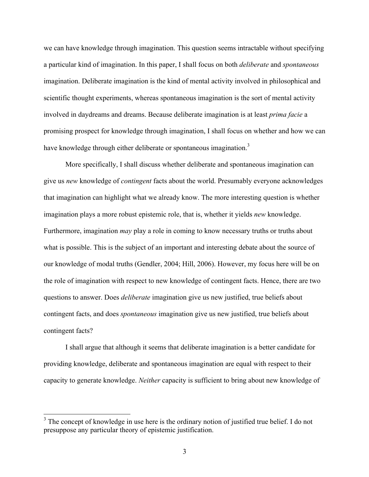we can have knowledge through imagination. This question seems intractable without specifying a particular kind of imagination. In this paper, I shall focus on both *deliberate* and *spontaneous* imagination. Deliberate imagination is the kind of mental activity involved in philosophical and scientific thought experiments, whereas spontaneous imagination is the sort of mental activity involved in daydreams and dreams. Because deliberate imagination is at least *prima facie* a promising prospect for knowledge through imagination, I shall focus on whether and how we can have knowledge through either deliberate or spontaneous imagination.<sup>3</sup>

More specifically, I shall discuss whether deliberate and spontaneous imagination can give us *new* knowledge of *contingent* facts about the world. Presumably everyone acknowledges that imagination can highlight what we already know. The more interesting question is whether imagination plays a more robust epistemic role, that is, whether it yields *new* knowledge. Furthermore, imagination *may* play a role in coming to know necessary truths or truths about what is possible. This is the subject of an important and interesting debate about the source of our knowledge of modal truths (Gendler, 2004; Hill, 2006). However, my focus here will be on the role of imagination with respect to new knowledge of contingent facts. Hence, there are two questions to answer. Does *deliberate* imagination give us new justified, true beliefs about contingent facts, and does *spontaneous* imagination give us new justified, true beliefs about contingent facts?

I shall argue that although it seems that deliberate imagination is a better candidate for providing knowledge, deliberate and spontaneous imagination are equal with respect to their capacity to generate knowledge. *Neither* capacity is sufficient to bring about new knowledge of

<sup>&</sup>lt;sup>3</sup> The concept of knowledge in use here is the ordinary notion of justified true belief. I do not presuppose any particular theory of epistemic justification.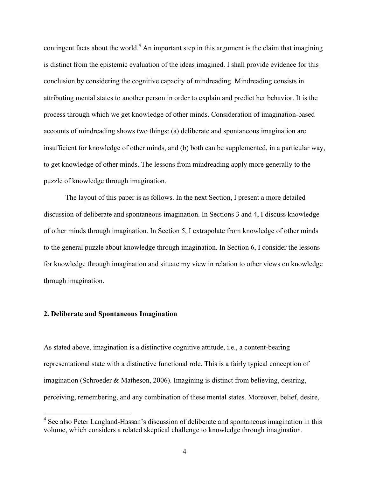contingent facts about the world.<sup>4</sup> An important step in this argument is the claim that imagining is distinct from the epistemic evaluation of the ideas imagined. I shall provide evidence for this conclusion by considering the cognitive capacity of mindreading. Mindreading consists in attributing mental states to another person in order to explain and predict her behavior. It is the process through which we get knowledge of other minds. Consideration of imagination-based accounts of mindreading shows two things: (a) deliberate and spontaneous imagination are insufficient for knowledge of other minds, and (b) both can be supplemented, in a particular way, to get knowledge of other minds. The lessons from mindreading apply more generally to the puzzle of knowledge through imagination.

The layout of this paper is as follows. In the next Section, I present a more detailed discussion of deliberate and spontaneous imagination. In Sections 3 and 4, I discuss knowledge of other minds through imagination. In Section 5, I extrapolate from knowledge of other minds to the general puzzle about knowledge through imagination. In Section 6, I consider the lessons for knowledge through imagination and situate my view in relation to other views on knowledge through imagination.

### **2. Deliberate and Spontaneous Imagination**

As stated above, imagination is a distinctive cognitive attitude, i.e., a content-bearing representational state with a distinctive functional role. This is a fairly typical conception of imagination (Schroeder & Matheson, 2006). Imagining is distinct from believing, desiring, perceiving, remembering, and any combination of these mental states. Moreover, belief, desire,

<sup>&</sup>lt;sup>4</sup> See also Peter Langland-Hassan's discussion of deliberate and spontaneous imagination in this volume, which considers a related skeptical challenge to knowledge through imagination.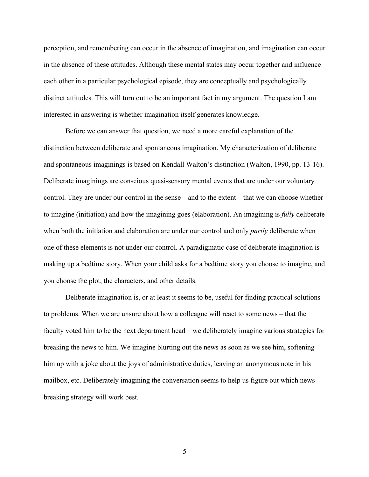perception, and remembering can occur in the absence of imagination, and imagination can occur in the absence of these attitudes. Although these mental states may occur together and influence each other in a particular psychological episode, they are conceptually and psychologically distinct attitudes. This will turn out to be an important fact in my argument. The question I am interested in answering is whether imagination itself generates knowledge.

Before we can answer that question, we need a more careful explanation of the distinction between deliberate and spontaneous imagination. My characterization of deliberate and spontaneous imaginings is based on Kendall Walton's distinction (Walton, 1990, pp. 13-16). Deliberate imaginings are conscious quasi-sensory mental events that are under our voluntary control. They are under our control in the sense – and to the extent – that we can choose whether to imagine (initiation) and how the imagining goes (elaboration). An imagining is *fully* deliberate when both the initiation and elaboration are under our control and only *partly* deliberate when one of these elements is not under our control. A paradigmatic case of deliberate imagination is making up a bedtime story. When your child asks for a bedtime story you choose to imagine, and you choose the plot, the characters, and other details.

Deliberate imagination is, or at least it seems to be, useful for finding practical solutions to problems. When we are unsure about how a colleague will react to some news – that the faculty voted him to be the next department head – we deliberately imagine various strategies for breaking the news to him. We imagine blurting out the news as soon as we see him, softening him up with a joke about the joys of administrative duties, leaving an anonymous note in his mailbox, etc. Deliberately imagining the conversation seems to help us figure out which newsbreaking strategy will work best.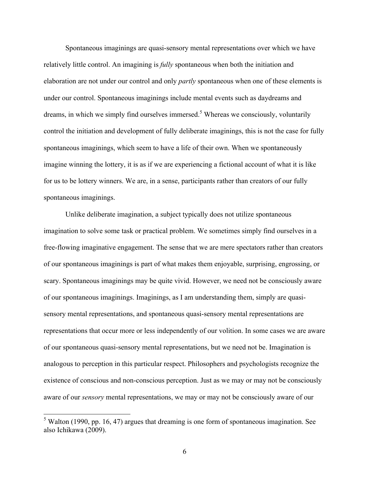Spontaneous imaginings are quasi-sensory mental representations over which we have relatively little control. An imagining is *fully* spontaneous when both the initiation and elaboration are not under our control and only *partly* spontaneous when one of these elements is under our control. Spontaneous imaginings include mental events such as daydreams and dreams, in which we simply find ourselves immersed.<sup>5</sup> Whereas we consciously, voluntarily control the initiation and development of fully deliberate imaginings, this is not the case for fully spontaneous imaginings, which seem to have a life of their own. When we spontaneously imagine winning the lottery, it is as if we are experiencing a fictional account of what it is like for us to be lottery winners. We are, in a sense, participants rather than creators of our fully spontaneous imaginings.

Unlike deliberate imagination, a subject typically does not utilize spontaneous imagination to solve some task or practical problem. We sometimes simply find ourselves in a free-flowing imaginative engagement. The sense that we are mere spectators rather than creators of our spontaneous imaginings is part of what makes them enjoyable, surprising, engrossing, or scary. Spontaneous imaginings may be quite vivid. However, we need not be consciously aware of our spontaneous imaginings. Imaginings, as I am understanding them, simply are quasisensory mental representations, and spontaneous quasi-sensory mental representations are representations that occur more or less independently of our volition. In some cases we are aware of our spontaneous quasi-sensory mental representations, but we need not be. Imagination is analogous to perception in this particular respect. Philosophers and psychologists recognize the existence of conscious and non-conscious perception. Just as we may or may not be consciously aware of our *sensory* mental representations, we may or may not be consciously aware of our

 $5$  Walton (1990, pp. 16, 47) argues that dreaming is one form of spontaneous imagination. See also Ichikawa (2009).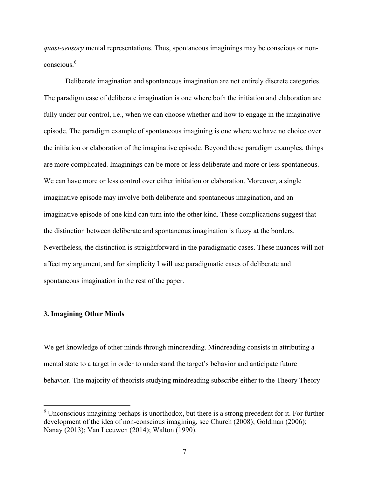*quasi-sensory* mental representations. Thus, spontaneous imaginings may be conscious or nonconscious<sup>6</sup>

Deliberate imagination and spontaneous imagination are not entirely discrete categories. The paradigm case of deliberate imagination is one where both the initiation and elaboration are fully under our control, i.e., when we can choose whether and how to engage in the imaginative episode. The paradigm example of spontaneous imagining is one where we have no choice over the initiation or elaboration of the imaginative episode. Beyond these paradigm examples, things are more complicated. Imaginings can be more or less deliberate and more or less spontaneous. We can have more or less control over either initiation or elaboration. Moreover, a single imaginative episode may involve both deliberate and spontaneous imagination, and an imaginative episode of one kind can turn into the other kind. These complications suggest that the distinction between deliberate and spontaneous imagination is fuzzy at the borders. Nevertheless, the distinction is straightforward in the paradigmatic cases. These nuances will not affect my argument, and for simplicity I will use paradigmatic cases of deliberate and spontaneous imagination in the rest of the paper.

#### **3. Imagining Other Minds**

We get knowledge of other minds through mindreading. Mindreading consists in attributing a mental state to a target in order to understand the target's behavior and anticipate future behavior. The majority of theorists studying mindreading subscribe either to the Theory Theory

 $6$  Unconscious imagining perhaps is unorthodox, but there is a strong precedent for it. For further development of the idea of non-conscious imagining, see Church (2008); Goldman (2006); Nanay (2013); Van Leeuwen (2014); Walton (1990).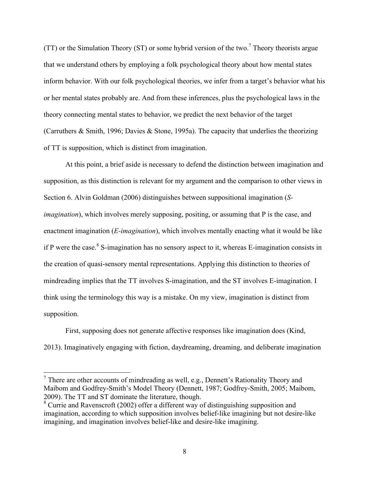(TT) or the Simulation Theory (ST) or some hybrid version of the two.<sup>7</sup> Theory theorists argue that we understand others by employing a folk psychological theory about how mental states inform behavior. With our folk psychological theories, we infer from a target's behavior what his or her mental states probably are. And from these inferences, plus the psychological laws in the theory connecting mental states to behavior, we predict the next behavior of the target (Carruthers & Smith, 1996; Davies & Stone, 1995a). The capacity that underlies the theorizing of TT is supposition, which is distinct from imagination.

At this point, a brief aside is necessary to defend the distinction between imagination and supposition, as this distinction is relevant for my argument and the comparison to other views in Section 6. Alvin Goldman (2006) distinguishes between suppositional imagination (*Simagination*), which involves merely supposing, positing, or assuming that P is the case, and enactment imagination (*E-imagination*), which involves mentally enacting what it would be like if P were the case.<sup>8</sup> S-imagination has no sensory aspect to it, whereas E-imagination consists in the creation of quasi-sensory mental representations. Applying this distinction to theories of mindreading implies that the TT involves S-imagination, and the ST involves E-imagination. I think using the terminology this way is a mistake. On my view, imagination is distinct from supposition.

First, supposing does not generate affective responses like imagination does (Kind, 2013). Imaginatively engaging with fiction, daydreaming, dreaming, and deliberate imagination

 $<sup>7</sup>$  There are other accounts of mindreading as well, e.g., Dennett's Rationality Theory and</sup> Maibom and Godfrey-Smith's Model Theory (Dennett, 1987; Godfrey-Smith, 2005; Maibom, 2009). The TT and ST dominate the literature, though.

<sup>&</sup>lt;sup>8</sup> Currie and Ravenscroft (2002) offer a different way of distinguishing supposition and imagination, according to which supposition involves belief-like imagining but not desire-like imagining, and imagination involves belief-like and desire-like imagining.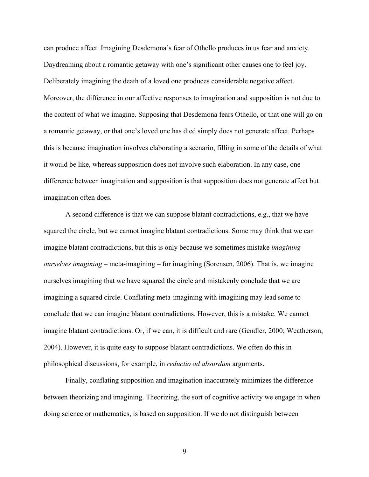can produce affect. Imagining Desdemona's fear of Othello produces in us fear and anxiety. Daydreaming about a romantic getaway with one's significant other causes one to feel joy. Deliberately imagining the death of a loved one produces considerable negative affect. Moreover, the difference in our affective responses to imagination and supposition is not due to the content of what we imagine. Supposing that Desdemona fears Othello, or that one will go on a romantic getaway, or that one's loved one has died simply does not generate affect. Perhaps this is because imagination involves elaborating a scenario, filling in some of the details of what it would be like, whereas supposition does not involve such elaboration. In any case, one difference between imagination and supposition is that supposition does not generate affect but imagination often does.

A second difference is that we can suppose blatant contradictions, e.g., that we have squared the circle, but we cannot imagine blatant contradictions. Some may think that we can imagine blatant contradictions, but this is only because we sometimes mistake *imagining ourselves imagining* – meta-imagining – for imagining (Sorensen, 2006). That is, we imagine ourselves imagining that we have squared the circle and mistakenly conclude that we are imagining a squared circle. Conflating meta-imagining with imagining may lead some to conclude that we can imagine blatant contradictions. However, this is a mistake. We cannot imagine blatant contradictions. Or, if we can, it is difficult and rare (Gendler, 2000; Weatherson, 2004). However, it is quite easy to suppose blatant contradictions. We often do this in philosophical discussions, for example, in *reductio ad absurdum* arguments.

Finally, conflating supposition and imagination inaccurately minimizes the difference between theorizing and imagining. Theorizing, the sort of cognitive activity we engage in when doing science or mathematics, is based on supposition. If we do not distinguish between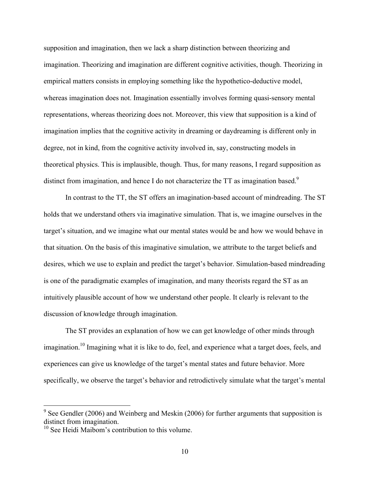supposition and imagination, then we lack a sharp distinction between theorizing and imagination. Theorizing and imagination are different cognitive activities, though. Theorizing in empirical matters consists in employing something like the hypothetico-deductive model, whereas imagination does not. Imagination essentially involves forming quasi-sensory mental representations, whereas theorizing does not. Moreover, this view that supposition is a kind of imagination implies that the cognitive activity in dreaming or daydreaming is different only in degree, not in kind, from the cognitive activity involved in, say, constructing models in theoretical physics. This is implausible, though. Thus, for many reasons, I regard supposition as distinct from imagination, and hence I do not characterize the TT as imagination based.<sup>9</sup>

In contrast to the TT, the ST offers an imagination-based account of mindreading. The ST holds that we understand others via imaginative simulation. That is, we imagine ourselves in the target's situation, and we imagine what our mental states would be and how we would behave in that situation. On the basis of this imaginative simulation, we attribute to the target beliefs and desires, which we use to explain and predict the target's behavior. Simulation-based mindreading is one of the paradigmatic examples of imagination, and many theorists regard the ST as an intuitively plausible account of how we understand other people. It clearly is relevant to the discussion of knowledge through imagination.

The ST provides an explanation of how we can get knowledge of other minds through imagination.<sup>10</sup> Imagining what it is like to do, feel, and experience what a target does, feels, and experiences can give us knowledge of the target's mental states and future behavior. More specifically, we observe the target's behavior and retrodictively simulate what the target's mental

 $9^9$  See Gendler (2006) and Weinberg and Meskin (2006) for further arguments that supposition is distinct from imagination.

<sup>&</sup>lt;sup>10</sup> See Heidi Maibom's contribution to this volume.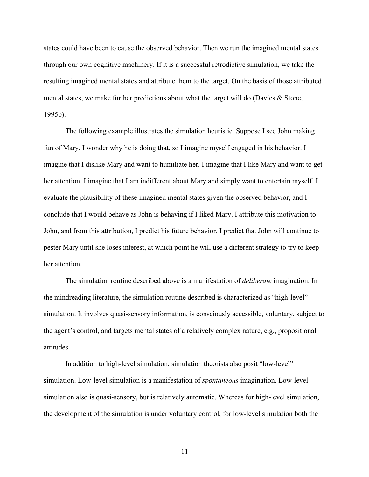states could have been to cause the observed behavior. Then we run the imagined mental states through our own cognitive machinery. If it is a successful retrodictive simulation, we take the resulting imagined mental states and attribute them to the target. On the basis of those attributed mental states, we make further predictions about what the target will do (Davies & Stone, 1995b).

The following example illustrates the simulation heuristic. Suppose I see John making fun of Mary. I wonder why he is doing that, so I imagine myself engaged in his behavior. I imagine that I dislike Mary and want to humiliate her. I imagine that I like Mary and want to get her attention. I imagine that I am indifferent about Mary and simply want to entertain myself. I evaluate the plausibility of these imagined mental states given the observed behavior, and I conclude that I would behave as John is behaving if I liked Mary. I attribute this motivation to John, and from this attribution, I predict his future behavior. I predict that John will continue to pester Mary until she loses interest, at which point he will use a different strategy to try to keep her attention.

The simulation routine described above is a manifestation of *deliberate* imagination. In the mindreading literature, the simulation routine described is characterized as "high-level" simulation. It involves quasi-sensory information, is consciously accessible, voluntary, subject to the agent's control, and targets mental states of a relatively complex nature, e.g., propositional attitudes.

In addition to high-level simulation, simulation theorists also posit "low-level" simulation. Low-level simulation is a manifestation of *spontaneous* imagination. Low-level simulation also is quasi-sensory, but is relatively automatic. Whereas for high-level simulation, the development of the simulation is under voluntary control, for low-level simulation both the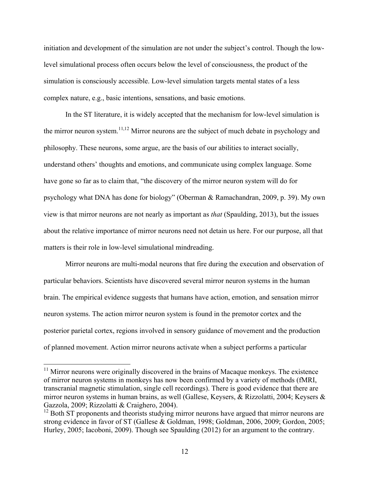initiation and development of the simulation are not under the subject's control. Though the lowlevel simulational process often occurs below the level of consciousness, the product of the simulation is consciously accessible. Low-level simulation targets mental states of a less complex nature, e.g., basic intentions, sensations, and basic emotions.

In the ST literature, it is widely accepted that the mechanism for low-level simulation is the mirror neuron system.<sup>11,12</sup> Mirror neurons are the subject of much debate in psychology and philosophy. These neurons, some argue, are the basis of our abilities to interact socially, understand others' thoughts and emotions, and communicate using complex language. Some have gone so far as to claim that, "the discovery of the mirror neuron system will do for psychology what DNA has done for biology" (Oberman & Ramachandran, 2009, p. 39). My own view is that mirror neurons are not nearly as important as *that* (Spaulding, 2013), but the issues about the relative importance of mirror neurons need not detain us here. For our purpose, all that matters is their role in low-level simulational mindreading.

Mirror neurons are multi-modal neurons that fire during the execution and observation of particular behaviors. Scientists have discovered several mirror neuron systems in the human brain. The empirical evidence suggests that humans have action, emotion, and sensation mirror neuron systems. The action mirror neuron system is found in the premotor cortex and the posterior parietal cortex, regions involved in sensory guidance of movement and the production of planned movement. Action mirror neurons activate when a subject performs a particular

 $11$  Mirror neurons were originally discovered in the brains of Macaque monkeys. The existence of mirror neuron systems in monkeys has now been confirmed by a variety of methods (fMRI, transcranial magnetic stimulation, single cell recordings). There is good evidence that there are mirror neuron systems in human brains, as well (Gallese, Keysers, & Rizzolatti, 2004; Keysers & Gazzola, 2009; Rizzolatti & Craighero, 2004).<br><sup>12</sup> Both ST proponents and theorists studying mirror neurons have argued that mirror neurons are

strong evidence in favor of ST (Gallese & Goldman, 1998; Goldman, 2006, 2009; Gordon, 2005; Hurley, 2005; Iacoboni, 2009). Though see Spaulding (2012) for an argument to the contrary.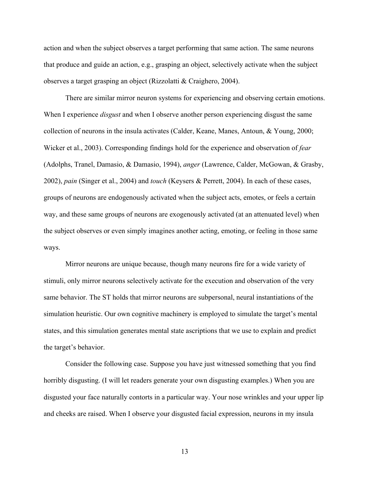action and when the subject observes a target performing that same action. The same neurons that produce and guide an action, e.g., grasping an object, selectively activate when the subject observes a target grasping an object (Rizzolatti & Craighero, 2004).

There are similar mirror neuron systems for experiencing and observing certain emotions. When I experience *disgust* and when I observe another person experiencing disgust the same collection of neurons in the insula activates (Calder, Keane, Manes, Antoun, & Young, 2000; Wicker et al., 2003). Corresponding findings hold for the experience and observation of *fear* (Adolphs, Tranel, Damasio, & Damasio, 1994), *anger* (Lawrence, Calder, McGowan, & Grasby, 2002), *pain* (Singer et al., 2004) and *touch* (Keysers & Perrett, 2004). In each of these cases, groups of neurons are endogenously activated when the subject acts, emotes, or feels a certain way, and these same groups of neurons are exogenously activated (at an attenuated level) when the subject observes or even simply imagines another acting, emoting, or feeling in those same ways.

Mirror neurons are unique because, though many neurons fire for a wide variety of stimuli, only mirror neurons selectively activate for the execution and observation of the very same behavior. The ST holds that mirror neurons are subpersonal, neural instantiations of the simulation heuristic. Our own cognitive machinery is employed to simulate the target's mental states, and this simulation generates mental state ascriptions that we use to explain and predict the target's behavior.

Consider the following case. Suppose you have just witnessed something that you find horribly disgusting. (I will let readers generate your own disgusting examples.) When you are disgusted your face naturally contorts in a particular way. Your nose wrinkles and your upper lip and cheeks are raised. When I observe your disgusted facial expression, neurons in my insula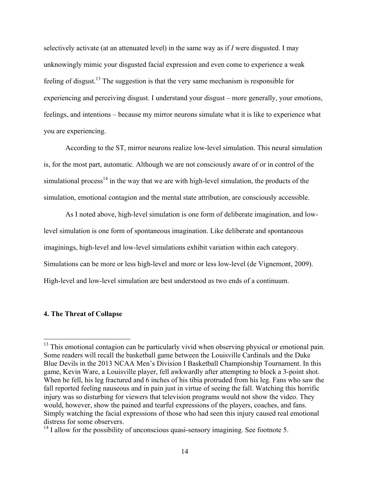selectively activate (at an attenuated level) in the same way as if *I* were disgusted. I may unknowingly mimic your disgusted facial expression and even come to experience a weak feeling of disgust.<sup>13</sup> The suggestion is that the very same mechanism is responsible for experiencing and perceiving disgust. I understand your disgust – more generally, your emotions, feelings, and intentions – because my mirror neurons simulate what it is like to experience what you are experiencing.

According to the ST, mirror neurons realize low-level simulation. This neural simulation is, for the most part, automatic. Although we are not consciously aware of or in control of the simulational process<sup>14</sup> in the way that we are with high-level simulation, the products of the simulation, emotional contagion and the mental state attribution, are consciously accessible.

As I noted above, high-level simulation is one form of deliberate imagination, and lowlevel simulation is one form of spontaneous imagination. Like deliberate and spontaneous imaginings, high-level and low-level simulations exhibit variation within each category. Simulations can be more or less high-level and more or less low-level (de Vignemont, 2009). High-level and low-level simulation are best understood as two ends of a continuum.

#### **4. The Threat of Collapse**

<sup>&</sup>lt;sup>13</sup> This emotional contagion can be particularly vivid when observing physical or emotional pain. Some readers will recall the basketball game between the Louisville Cardinals and the Duke Blue Devils in the 2013 NCAA Men's Division I Basketball Championship Tournament. In this game, Kevin Ware, a Louisville player, fell awkwardly after attempting to block a 3-point shot. When he fell, his leg fractured and 6 inches of his tibia protruded from his leg. Fans who saw the fall reported feeling nauseous and in pain just in virtue of seeing the fall. Watching this horrific injury was so disturbing for viewers that television programs would not show the video. They would, however, show the pained and tearful expressions of the players, coaches, and fans. Simply watching the facial expressions of those who had seen this injury caused real emotional distress for some observers.

<sup>&</sup>lt;sup>14</sup> I allow for the possibility of unconscious quasi-sensory imagining. See footnote 5.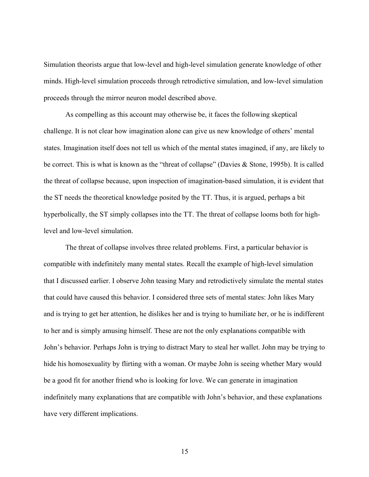Simulation theorists argue that low-level and high-level simulation generate knowledge of other minds. High-level simulation proceeds through retrodictive simulation, and low-level simulation proceeds through the mirror neuron model described above.

As compelling as this account may otherwise be, it faces the following skeptical challenge. It is not clear how imagination alone can give us new knowledge of others' mental states. Imagination itself does not tell us which of the mental states imagined, if any, are likely to be correct. This is what is known as the "threat of collapse" (Davies & Stone, 1995b). It is called the threat of collapse because, upon inspection of imagination-based simulation, it is evident that the ST needs the theoretical knowledge posited by the TT. Thus, it is argued, perhaps a bit hyperbolically, the ST simply collapses into the TT. The threat of collapse looms both for highlevel and low-level simulation.

The threat of collapse involves three related problems. First, a particular behavior is compatible with indefinitely many mental states. Recall the example of high-level simulation that I discussed earlier. I observe John teasing Mary and retrodictively simulate the mental states that could have caused this behavior. I considered three sets of mental states: John likes Mary and is trying to get her attention, he dislikes her and is trying to humiliate her, or he is indifferent to her and is simply amusing himself. These are not the only explanations compatible with John's behavior. Perhaps John is trying to distract Mary to steal her wallet. John may be trying to hide his homosexuality by flirting with a woman. Or maybe John is seeing whether Mary would be a good fit for another friend who is looking for love. We can generate in imagination indefinitely many explanations that are compatible with John's behavior, and these explanations have very different implications.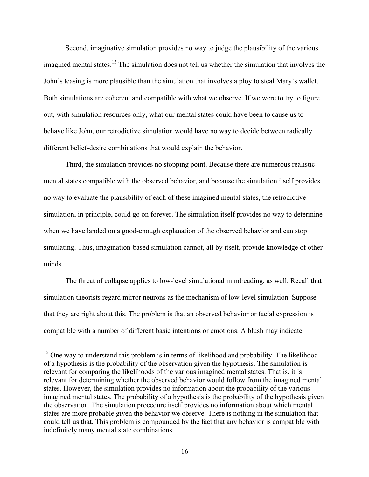Second, imaginative simulation provides no way to judge the plausibility of the various imagined mental states.<sup>15</sup> The simulation does not tell us whether the simulation that involves the John's teasing is more plausible than the simulation that involves a ploy to steal Mary's wallet. Both simulations are coherent and compatible with what we observe. If we were to try to figure out, with simulation resources only, what our mental states could have been to cause us to behave like John, our retrodictive simulation would have no way to decide between radically different belief-desire combinations that would explain the behavior.

Third, the simulation provides no stopping point. Because there are numerous realistic mental states compatible with the observed behavior, and because the simulation itself provides no way to evaluate the plausibility of each of these imagined mental states, the retrodictive simulation, in principle, could go on forever. The simulation itself provides no way to determine when we have landed on a good-enough explanation of the observed behavior and can stop simulating. Thus, imagination-based simulation cannot, all by itself, provide knowledge of other minds.

The threat of collapse applies to low-level simulational mindreading, as well. Recall that simulation theorists regard mirror neurons as the mechanism of low-level simulation. Suppose that they are right about this. The problem is that an observed behavior or facial expression is compatible with a number of different basic intentions or emotions. A blush may indicate

<sup>&</sup>lt;sup>15</sup> One way to understand this problem is in terms of likelihood and probability. The likelihood of a hypothesis is the probability of the observation given the hypothesis. The simulation is relevant for comparing the likelihoods of the various imagined mental states. That is, it is relevant for determining whether the observed behavior would follow from the imagined mental states. However, the simulation provides no information about the probability of the various imagined mental states. The probability of a hypothesis is the probability of the hypothesis given the observation. The simulation procedure itself provides no information about which mental states are more probable given the behavior we observe. There is nothing in the simulation that could tell us that. This problem is compounded by the fact that any behavior is compatible with indefinitely many mental state combinations.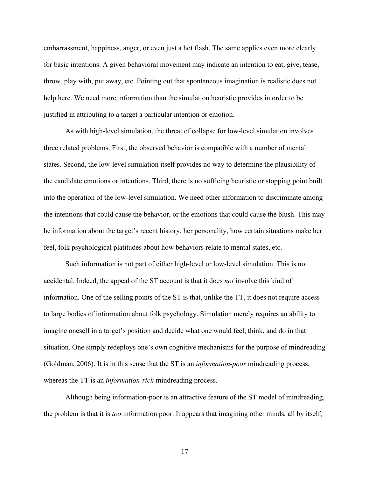embarrassment, happiness, anger, or even just a hot flash. The same applies even more clearly for basic intentions. A given behavioral movement may indicate an intention to eat, give, tease, throw, play with, put away, etc. Pointing out that spontaneous imagination is realistic does not help here. We need more information than the simulation heuristic provides in order to be justified in attributing to a target a particular intention or emotion.

As with high-level simulation, the threat of collapse for low-level simulation involves three related problems. First, the observed behavior is compatible with a number of mental states. Second, the low-level simulation itself provides no way to determine the plausibility of the candidate emotions or intentions. Third, there is no sufficing heuristic or stopping point built into the operation of the low-level simulation. We need other information to discriminate among the intentions that could cause the behavior, or the emotions that could cause the blush. This may be information about the target's recent history, her personality, how certain situations make her feel, folk psychological platitudes about how behaviors relate to mental states, etc.

Such information is not part of either high-level or low-level simulation. This is not accidental. Indeed, the appeal of the ST account is that it does *not* involve this kind of information. One of the selling points of the ST is that, unlike the TT, it does not require access to large bodies of information about folk psychology. Simulation merely requires an ability to imagine oneself in a target's position and decide what one would feel, think, and do in that situation. One simply redeploys one's own cognitive mechanisms for the purpose of mindreading (Goldman, 2006). It is in this sense that the ST is an *information*-*poor* mindreading process, whereas the TT is an *information*-*rich* mindreading process.

Although being information-poor is an attractive feature of the ST model of mindreading, the problem is that it is *too* information poor. It appears that imagining other minds, all by itself,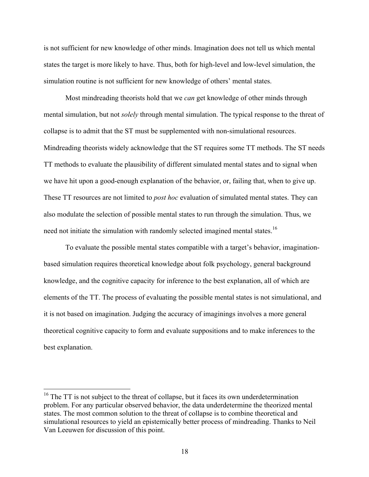is not sufficient for new knowledge of other minds. Imagination does not tell us which mental states the target is more likely to have. Thus, both for high-level and low-level simulation, the simulation routine is not sufficient for new knowledge of others' mental states.

Most mindreading theorists hold that we *can* get knowledge of other minds through mental simulation, but not *solely* through mental simulation. The typical response to the threat of collapse is to admit that the ST must be supplemented with non-simulational resources. Mindreading theorists widely acknowledge that the ST requires some TT methods. The ST needs TT methods to evaluate the plausibility of different simulated mental states and to signal when we have hit upon a good-enough explanation of the behavior, or, failing that, when to give up. These TT resources are not limited to *post hoc* evaluation of simulated mental states. They can also modulate the selection of possible mental states to run through the simulation. Thus, we need not initiate the simulation with randomly selected imagined mental states.<sup>16</sup>

To evaluate the possible mental states compatible with a target's behavior, imaginationbased simulation requires theoretical knowledge about folk psychology, general background knowledge, and the cognitive capacity for inference to the best explanation, all of which are elements of the TT. The process of evaluating the possible mental states is not simulational, and it is not based on imagination. Judging the accuracy of imaginings involves a more general theoretical cognitive capacity to form and evaluate suppositions and to make inferences to the best explanation.

<sup>&</sup>lt;sup>16</sup> The TT is not subject to the threat of collapse, but it faces its own underdetermination problem. For any particular observed behavior, the data underdetermine the theorized mental states. The most common solution to the threat of collapse is to combine theoretical and simulational resources to yield an epistemically better process of mindreading. Thanks to Neil Van Leeuwen for discussion of this point.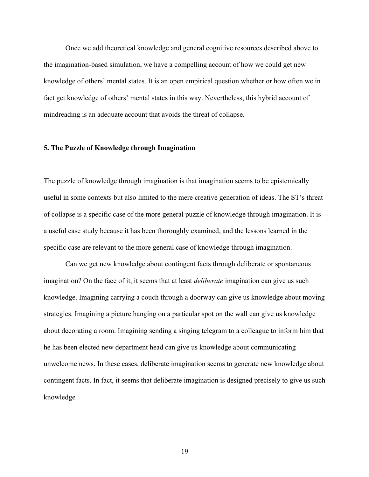Once we add theoretical knowledge and general cognitive resources described above to the imagination-based simulation, we have a compelling account of how we could get new knowledge of others' mental states. It is an open empirical question whether or how often we in fact get knowledge of others' mental states in this way. Nevertheless, this hybrid account of mindreading is an adequate account that avoids the threat of collapse.

#### **5. The Puzzle of Knowledge through Imagination**

The puzzle of knowledge through imagination is that imagination seems to be epistemically useful in some contexts but also limited to the mere creative generation of ideas. The ST's threat of collapse is a specific case of the more general puzzle of knowledge through imagination. It is a useful case study because it has been thoroughly examined, and the lessons learned in the specific case are relevant to the more general case of knowledge through imagination.

Can we get new knowledge about contingent facts through deliberate or spontaneous imagination? On the face of it, it seems that at least *deliberate* imagination can give us such knowledge. Imagining carrying a couch through a doorway can give us knowledge about moving strategies. Imagining a picture hanging on a particular spot on the wall can give us knowledge about decorating a room. Imagining sending a singing telegram to a colleague to inform him that he has been elected new department head can give us knowledge about communicating unwelcome news. In these cases, deliberate imagination seems to generate new knowledge about contingent facts. In fact, it seems that deliberate imagination is designed precisely to give us such knowledge*.*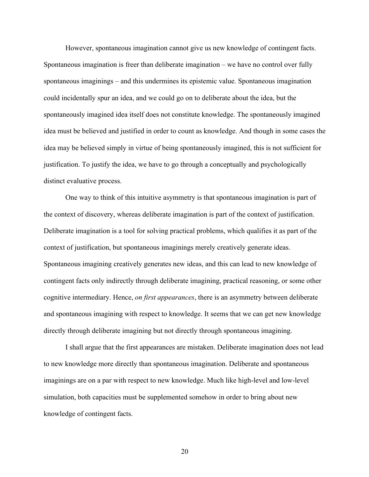However, spontaneous imagination cannot give us new knowledge of contingent facts. Spontaneous imagination is freer than deliberate imagination – we have no control over fully spontaneous imaginings – and this undermines its epistemic value. Spontaneous imagination could incidentally spur an idea, and we could go on to deliberate about the idea, but the spontaneously imagined idea itself does not constitute knowledge. The spontaneously imagined idea must be believed and justified in order to count as knowledge. And though in some cases the idea may be believed simply in virtue of being spontaneously imagined, this is not sufficient for justification. To justify the idea, we have to go through a conceptually and psychologically distinct evaluative process.

One way to think of this intuitive asymmetry is that spontaneous imagination is part of the context of discovery, whereas deliberate imagination is part of the context of justification. Deliberate imagination is a tool for solving practical problems, which qualifies it as part of the context of justification, but spontaneous imaginings merely creatively generate ideas. Spontaneous imagining creatively generates new ideas, and this can lead to new knowledge of contingent facts only indirectly through deliberate imagining, practical reasoning, or some other cognitive intermediary. Hence, *on first appearances*, there is an asymmetry between deliberate and spontaneous imagining with respect to knowledge. It seems that we can get new knowledge directly through deliberate imagining but not directly through spontaneous imagining.

I shall argue that the first appearances are mistaken. Deliberate imagination does not lead to new knowledge more directly than spontaneous imagination. Deliberate and spontaneous imaginings are on a par with respect to new knowledge. Much like high-level and low-level simulation, both capacities must be supplemented somehow in order to bring about new knowledge of contingent facts.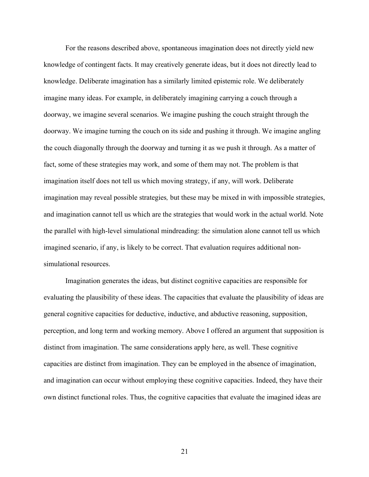For the reasons described above, spontaneous imagination does not directly yield new knowledge of contingent facts. It may creatively generate ideas, but it does not directly lead to knowledge. Deliberate imagination has a similarly limited epistemic role. We deliberately imagine many ideas. For example, in deliberately imagining carrying a couch through a doorway, we imagine several scenarios. We imagine pushing the couch straight through the doorway. We imagine turning the couch on its side and pushing it through. We imagine angling the couch diagonally through the doorway and turning it as we push it through. As a matter of fact, some of these strategies may work, and some of them may not. The problem is that imagination itself does not tell us which moving strategy, if any, will work. Deliberate imagination may reveal possible strategies*,* but these may be mixed in with impossible strategies, and imagination cannot tell us which are the strategies that would work in the actual world. Note the parallel with high-level simulational mindreading: the simulation alone cannot tell us which imagined scenario, if any, is likely to be correct. That evaluation requires additional nonsimulational resources.

Imagination generates the ideas, but distinct cognitive capacities are responsible for evaluating the plausibility of these ideas. The capacities that evaluate the plausibility of ideas are general cognitive capacities for deductive, inductive, and abductive reasoning, supposition, perception, and long term and working memory. Above I offered an argument that supposition is distinct from imagination. The same considerations apply here, as well. These cognitive capacities are distinct from imagination. They can be employed in the absence of imagination, and imagination can occur without employing these cognitive capacities. Indeed, they have their own distinct functional roles. Thus, the cognitive capacities that evaluate the imagined ideas are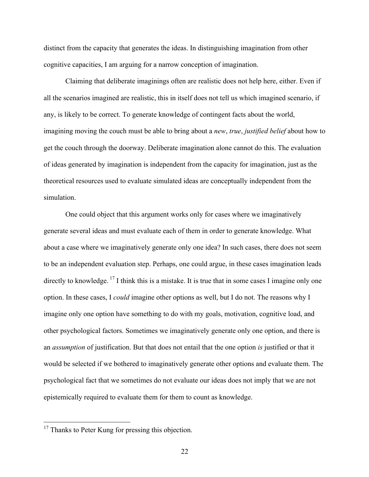distinct from the capacity that generates the ideas. In distinguishing imagination from other cognitive capacities, I am arguing for a narrow conception of imagination.

Claiming that deliberate imaginings often are realistic does not help here, either. Even if all the scenarios imagined are realistic, this in itself does not tell us which imagined scenario, if any, is likely to be correct. To generate knowledge of contingent facts about the world, imagining moving the couch must be able to bring about a *new*, *true*, *justified belief* about how to get the couch through the doorway. Deliberate imagination alone cannot do this. The evaluation of ideas generated by imagination is independent from the capacity for imagination, just as the theoretical resources used to evaluate simulated ideas are conceptually independent from the simulation.

One could object that this argument works only for cases where we imaginatively generate several ideas and must evaluate each of them in order to generate knowledge. What about a case where we imaginatively generate only one idea? In such cases, there does not seem to be an independent evaluation step. Perhaps, one could argue, in these cases imagination leads directly to knowledge.  $^{17}$  I think this is a mistake. It is true that in some cases I imagine only one option. In these cases, I *could* imagine other options as well, but I do not. The reasons why I imagine only one option have something to do with my goals, motivation, cognitive load, and other psychological factors. Sometimes we imaginatively generate only one option, and there is an *assumption* of justification. But that does not entail that the one option *is* justified or that it would be selected if we bothered to imaginatively generate other options and evaluate them. The psychological fact that we sometimes do not evaluate our ideas does not imply that we are not epistemically required to evaluate them for them to count as knowledge.

<sup>&</sup>lt;sup>17</sup> Thanks to Peter Kung for pressing this objection.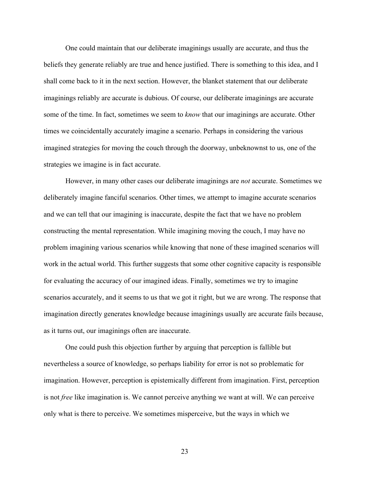One could maintain that our deliberate imaginings usually are accurate, and thus the beliefs they generate reliably are true and hence justified. There is something to this idea, and I shall come back to it in the next section. However, the blanket statement that our deliberate imaginings reliably are accurate is dubious. Of course, our deliberate imaginings are accurate some of the time. In fact, sometimes we seem to *know* that our imaginings are accurate. Other times we coincidentally accurately imagine a scenario. Perhaps in considering the various imagined strategies for moving the couch through the doorway, unbeknownst to us, one of the strategies we imagine is in fact accurate.

However, in many other cases our deliberate imaginings are *not* accurate. Sometimes we deliberately imagine fanciful scenarios. Other times, we attempt to imagine accurate scenarios and we can tell that our imagining is inaccurate, despite the fact that we have no problem constructing the mental representation. While imagining moving the couch, I may have no problem imagining various scenarios while knowing that none of these imagined scenarios will work in the actual world. This further suggests that some other cognitive capacity is responsible for evaluating the accuracy of our imagined ideas. Finally, sometimes we try to imagine scenarios accurately, and it seems to us that we got it right, but we are wrong. The response that imagination directly generates knowledge because imaginings usually are accurate fails because, as it turns out, our imaginings often are inaccurate.

One could push this objection further by arguing that perception is fallible but nevertheless a source of knowledge, so perhaps liability for error is not so problematic for imagination. However, perception is epistemically different from imagination. First, perception is not *free* like imagination is. We cannot perceive anything we want at will. We can perceive only what is there to perceive. We sometimes misperceive, but the ways in which we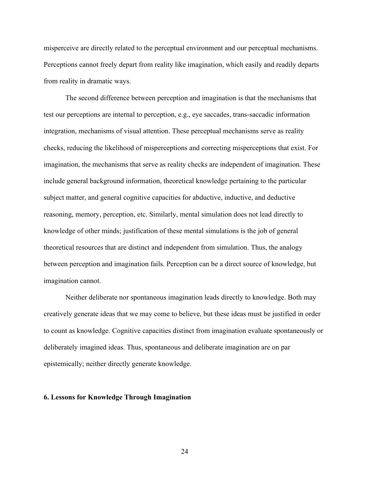misperceive are directly related to the perceptual environment and our perceptual mechanisms. Perceptions cannot freely depart from reality like imagination, which easily and readily departs from reality in dramatic ways.

The second difference between perception and imagination is that the mechanisms that test our perceptions are internal to perception, e.g., eye saccades, trans-saccadic information integration, mechanisms of visual attention. These perceptual mechanisms serve as reality checks, reducing the likelihood of misperceptions and correcting misperceptions that exist. For imagination, the mechanisms that serve as reality checks are independent of imagination. These include general background information, theoretical knowledge pertaining to the particular subject matter, and general cognitive capacities for abductive, inductive, and deductive reasoning, memory, perception, etc. Similarly, mental simulation does not lead directly to knowledge of other minds; justification of these mental simulations is the job of general theoretical resources that are distinct and independent from simulation. Thus, the analogy between perception and imagination fails. Perception can be a direct source of knowledge, but imagination cannot.

Neither deliberate nor spontaneous imagination leads directly to knowledge. Both may creatively generate ideas that we may come to believe, but these ideas must be justified in order to count as knowledge. Cognitive capacities distinct from imagination evaluate spontaneously or deliberately imagined ideas. Thus, spontaneous and deliberate imagination are on par epistemically; neither directly generate knowledge.

#### **6. Lessons for Knowledge Through Imagination**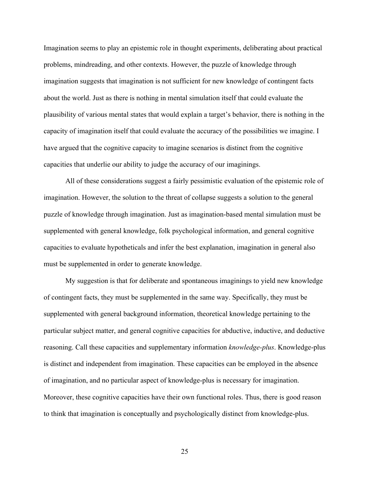Imagination seems to play an epistemic role in thought experiments, deliberating about practical problems, mindreading, and other contexts. However, the puzzle of knowledge through imagination suggests that imagination is not sufficient for new knowledge of contingent facts about the world. Just as there is nothing in mental simulation itself that could evaluate the plausibility of various mental states that would explain a target's behavior, there is nothing in the capacity of imagination itself that could evaluate the accuracy of the possibilities we imagine. I have argued that the cognitive capacity to imagine scenarios is distinct from the cognitive capacities that underlie our ability to judge the accuracy of our imaginings.

All of these considerations suggest a fairly pessimistic evaluation of the epistemic role of imagination. However, the solution to the threat of collapse suggests a solution to the general puzzle of knowledge through imagination. Just as imagination-based mental simulation must be supplemented with general knowledge, folk psychological information, and general cognitive capacities to evaluate hypotheticals and infer the best explanation, imagination in general also must be supplemented in order to generate knowledge.

My suggestion is that for deliberate and spontaneous imaginings to yield new knowledge of contingent facts, they must be supplemented in the same way. Specifically, they must be supplemented with general background information, theoretical knowledge pertaining to the particular subject matter, and general cognitive capacities for abductive, inductive, and deductive reasoning. Call these capacities and supplementary information *knowledge-plus*. Knowledge-plus is distinct and independent from imagination. These capacities can be employed in the absence of imagination, and no particular aspect of knowledge-plus is necessary for imagination. Moreover, these cognitive capacities have their own functional roles. Thus, there is good reason to think that imagination is conceptually and psychologically distinct from knowledge-plus.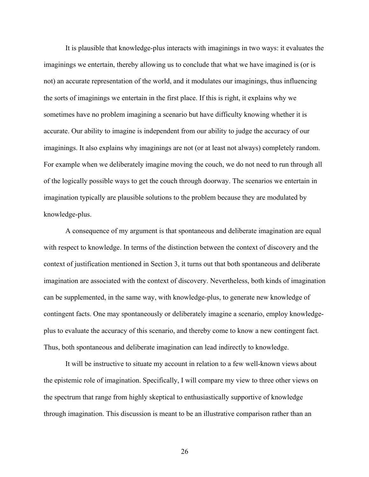It is plausible that knowledge-plus interacts with imaginings in two ways: it evaluates the imaginings we entertain, thereby allowing us to conclude that what we have imagined is (or is not) an accurate representation of the world, and it modulates our imaginings, thus influencing the sorts of imaginings we entertain in the first place. If this is right, it explains why we sometimes have no problem imagining a scenario but have difficulty knowing whether it is accurate. Our ability to imagine is independent from our ability to judge the accuracy of our imaginings. It also explains why imaginings are not (or at least not always) completely random. For example when we deliberately imagine moving the couch, we do not need to run through all of the logically possible ways to get the couch through doorway. The scenarios we entertain in imagination typically are plausible solutions to the problem because they are modulated by knowledge-plus.

A consequence of my argument is that spontaneous and deliberate imagination are equal with respect to knowledge. In terms of the distinction between the context of discovery and the context of justification mentioned in Section 3, it turns out that both spontaneous and deliberate imagination are associated with the context of discovery. Nevertheless, both kinds of imagination can be supplemented, in the same way, with knowledge-plus, to generate new knowledge of contingent facts. One may spontaneously or deliberately imagine a scenario, employ knowledgeplus to evaluate the accuracy of this scenario, and thereby come to know a new contingent fact*.* Thus, both spontaneous and deliberate imagination can lead indirectly to knowledge.

It will be instructive to situate my account in relation to a few well-known views about the epistemic role of imagination. Specifically, I will compare my view to three other views on the spectrum that range from highly skeptical to enthusiastically supportive of knowledge through imagination. This discussion is meant to be an illustrative comparison rather than an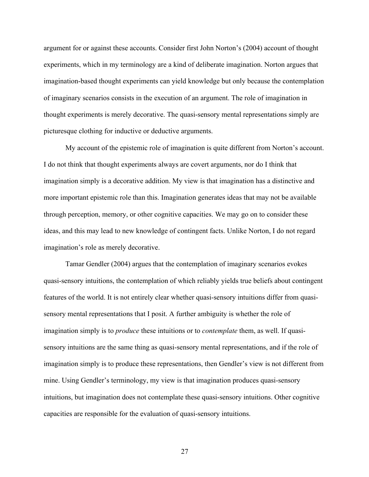argument for or against these accounts. Consider first John Norton's (2004) account of thought experiments, which in my terminology are a kind of deliberate imagination. Norton argues that imagination-based thought experiments can yield knowledge but only because the contemplation of imaginary scenarios consists in the execution of an argument. The role of imagination in thought experiments is merely decorative. The quasi-sensory mental representations simply are picturesque clothing for inductive or deductive arguments.

My account of the epistemic role of imagination is quite different from Norton's account. I do not think that thought experiments always are covert arguments, nor do I think that imagination simply is a decorative addition. My view is that imagination has a distinctive and more important epistemic role than this. Imagination generates ideas that may not be available through perception, memory, or other cognitive capacities. We may go on to consider these ideas, and this may lead to new knowledge of contingent facts. Unlike Norton, I do not regard imagination's role as merely decorative.

Tamar Gendler (2004) argues that the contemplation of imaginary scenarios evokes quasi-sensory intuitions, the contemplation of which reliably yields true beliefs about contingent features of the world. It is not entirely clear whether quasi-sensory intuitions differ from quasisensory mental representations that I posit. A further ambiguity is whether the role of imagination simply is to *produce* these intuitions or to *contemplate* them, as well. If quasisensory intuitions are the same thing as quasi-sensory mental representations, and if the role of imagination simply is to produce these representations, then Gendler's view is not different from mine. Using Gendler's terminology, my view is that imagination produces quasi-sensory intuitions, but imagination does not contemplate these quasi-sensory intuitions. Other cognitive capacities are responsible for the evaluation of quasi-sensory intuitions.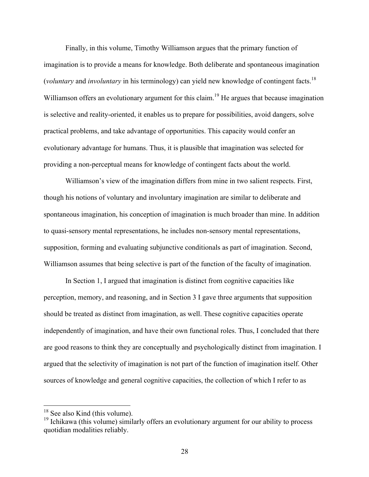Finally, in this volume, Timothy Williamson argues that the primary function of imagination is to provide a means for knowledge. Both deliberate and spontaneous imagination (*voluntary* and *involuntary* in his terminology) can yield new knowledge of contingent facts. 18 Williamson offers an evolutionary argument for this claim.<sup>19</sup> He argues that because imagination is selective and reality-oriented, it enables us to prepare for possibilities, avoid dangers, solve practical problems, and take advantage of opportunities. This capacity would confer an evolutionary advantage for humans. Thus, it is plausible that imagination was selected for providing a non-perceptual means for knowledge of contingent facts about the world.

Williamson's view of the imagination differs from mine in two salient respects. First, though his notions of voluntary and involuntary imagination are similar to deliberate and spontaneous imagination, his conception of imagination is much broader than mine. In addition to quasi-sensory mental representations, he includes non-sensory mental representations, supposition, forming and evaluating subjunctive conditionals as part of imagination. Second, Williamson assumes that being selective is part of the function of the faculty of imagination.

In Section 1, I argued that imagination is distinct from cognitive capacities like perception, memory, and reasoning, and in Section 3 I gave three arguments that supposition should be treated as distinct from imagination, as well. These cognitive capacities operate independently of imagination, and have their own functional roles. Thus, I concluded that there are good reasons to think they are conceptually and psychologically distinct from imagination. I argued that the selectivity of imagination is not part of the function of imagination itself. Other sources of knowledge and general cognitive capacities, the collection of which I refer to as

<sup>&</sup>lt;sup>18</sup> See also Kind (this volume).

<sup>&</sup>lt;sup>19</sup> Ichikawa (this volume) similarly offers an evolutionary argument for our ability to process quotidian modalities reliably.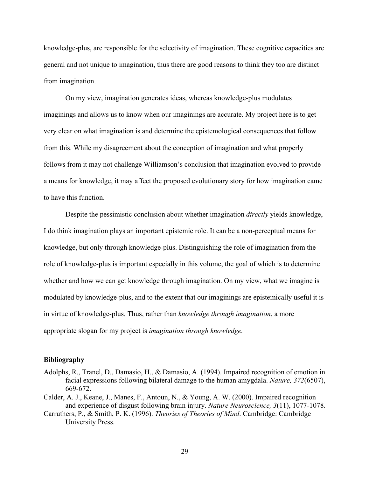knowledge-plus, are responsible for the selectivity of imagination. These cognitive capacities are general and not unique to imagination, thus there are good reasons to think they too are distinct from imagination.

On my view, imagination generates ideas, whereas knowledge-plus modulates imaginings and allows us to know when our imaginings are accurate. My project here is to get very clear on what imagination is and determine the epistemological consequences that follow from this. While my disagreement about the conception of imagination and what properly follows from it may not challenge Williamson's conclusion that imagination evolved to provide a means for knowledge, it may affect the proposed evolutionary story for how imagination came to have this function.

Despite the pessimistic conclusion about whether imagination *directly* yields knowledge, I do think imagination plays an important epistemic role. It can be a non-perceptual means for knowledge, but only through knowledge-plus. Distinguishing the role of imagination from the role of knowledge-plus is important especially in this volume, the goal of which is to determine whether and how we can get knowledge through imagination. On my view, what we imagine is modulated by knowledge-plus, and to the extent that our imaginings are epistemically useful it is in virtue of knowledge-plus. Thus, rather than *knowledge through imagination*, a more appropriate slogan for my project is *imagination through knowledge.*

#### **Bibliography**

- Adolphs, R., Tranel, D., Damasio, H., & Damasio, A. (1994). Impaired recognition of emotion in facial expressions following bilateral damage to the human amygdala. *Nature, 372*(6507), 669-672.
- Calder, A. J., Keane, J., Manes, F., Antoun, N., & Young, A. W. (2000). Impaired recognition and experience of disgust following brain injury. *Nature Neuroscience, 3*(11), 1077-1078.
- Carruthers, P., & Smith, P. K. (1996). *Theories of Theories of Mind*. Cambridge: Cambridge University Press.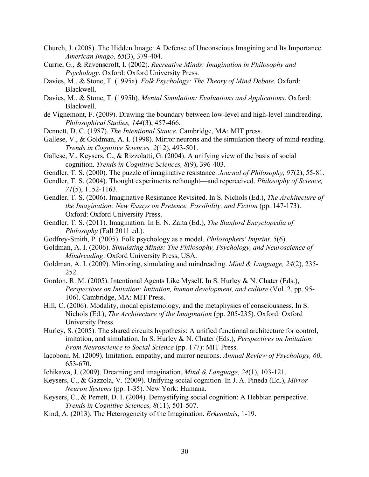- Church, J. (2008). The Hidden Image: A Defense of Unconscious Imagining and Its Importance. *American Imago, 65*(3), 379-404.
- Currie, G., & Ravenscroft, I. (2002). *Recreative Minds: Imagination in Philosophy and Psychology*. Oxford: Oxford University Press.
- Davies, M., & Stone, T. (1995a). *Folk Psychology: The Theory of Mind Debate*. Oxford: Blackwell.
- Davies, M., & Stone, T. (1995b). *Mental Simulation: Evaluations and Applications*. Oxford: Blackwell.
- de Vignemont, F. (2009). Drawing the boundary between low-level and high-level mindreading. *Philosophical Studies, 144*(3), 457-466.
- Dennett, D. C. (1987). *The Intentional Stance*. Cambridge, MA: MIT press.
- Gallese, V., & Goldman, A. I. (1998). Mirror neurons and the simulation theory of mind-reading. *Trends in Cognitive Sciences, 2*(12), 493-501.
- Gallese, V., Keysers, C., & Rizzolatti, G. (2004). A unifying view of the basis of social cognition. *Trends in Cognitive Sciences, 8*(9), 396-403.
- Gendler, T. S. (2000). The puzzle of imaginative resistance. *Journal of Philosophy, 97*(2), 55-81.
- Gendler, T. S. (2004). Thought experiments rethought—and reperceived. *Philosophy of Science, 71*(5), 1152-1163.
- Gendler, T. S. (2006). Imaginative Resistance Revisited. In S. Nichols (Ed.), *The Architecture of the Imagination: New Essays on Pretence, Possibility, and Fiction* (pp. 147-173). Oxford: Oxford University Press.
- Gendler, T. S. (2011). Imagination. In E. N. Zalta (Ed.), *The Stanford Encyclopedia of Philosophy* (Fall 2011 ed.).
- Godfrey-Smith, P. (2005). Folk psychology as a model. *Philosophers' Imprint, 5*(6).
- Goldman, A. I. (2006). *Simulating Minds: The Philosophy, Psychology, and Neuroscience of Mindreading*: Oxford University Press, USA.
- Goldman, A. I. (2009). Mirroring, simulating and mindreading. *Mind & Language, 24*(2), 235- 252.
- Gordon, R. M. (2005). Intentional Agents Like Myself. In S. Hurley & N. Chater (Eds.), *Perspectives on Imitation: Imitation, human development, and culture* (Vol. 2, pp. 95- 106). Cambridge, MA: MIT Press.
- Hill, C. (2006). Modality, modal epistemology, and the metaphysics of consciousness. In S. Nichols (Ed.), *The Architecture of the Imagination* (pp. 205-235). Oxford: Oxford University Press.
- Hurley, S. (2005). The shared circuits hypothesis: A unified functional architecture for control, imitation, and simulation. In S. Hurley & N. Chater (Eds.), *Perspectives on Imitation: From Neuroscience to Social Science* (pp. 177): MIT Press.
- Iacoboni, M. (2009). Imitation, empathy, and mirror neurons. *Annual Review of Psychology, 60*, 653-670.
- Ichikawa, J. (2009). Dreaming and imagination. *Mind & Language, 24*(1), 103-121.
- Keysers, C., & Gazzola, V. (2009). Unifying social cognition. In J. A. Pineda (Ed.), *Mirror Neuron Systems* (pp. 1-35). New York: Humana.
- Keysers, C., & Perrett, D. I. (2004). Demystifying social cognition: A Hebbian perspective. *Trends in Cognitive Sciences, 8*(11), 501-507.
- Kind, A. (2013). The Heterogeneity of the Imagination. *Erkenntnis*, 1-19.